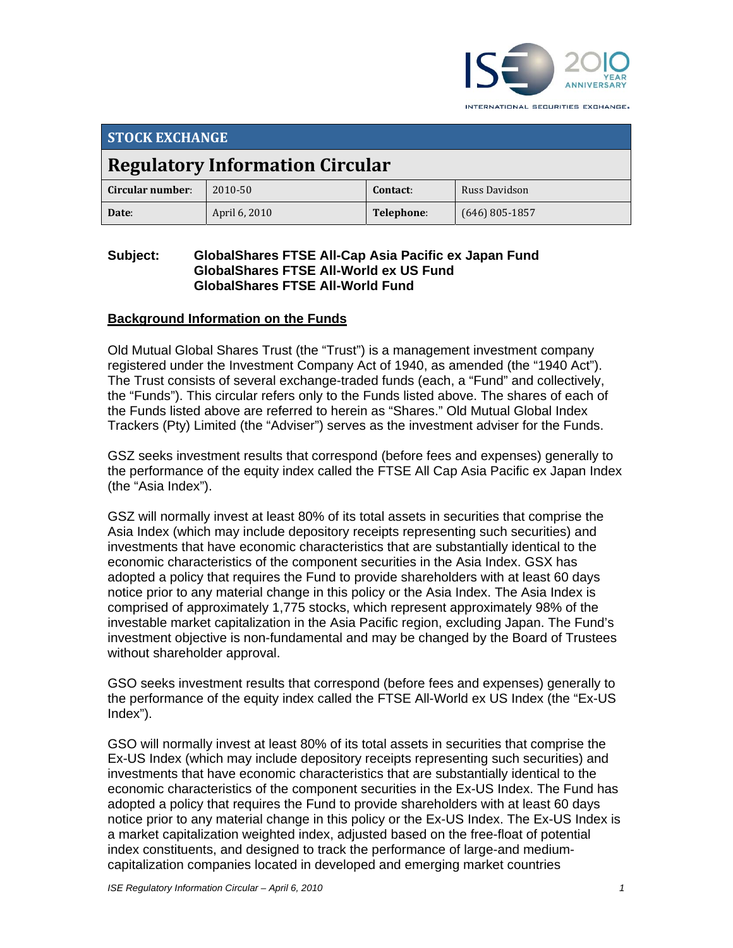

INTERNATIONAL SECURITIES EXCHANGE.

| <b>STOCK EXCHANGE</b>                  |               |            |                  |  |
|----------------------------------------|---------------|------------|------------------|--|
| <b>Regulatory Information Circular</b> |               |            |                  |  |
| Circular number:                       | 2010-50       | Contact:   | Russ Davidson    |  |
| Date:                                  | April 6, 2010 | Telephone: | $(646)$ 805-1857 |  |

## **Subject: GlobalShares FTSE All-Cap Asia Pacific ex Japan Fund GlobalShares FTSE All-World ex US Fund GlobalShares FTSE All-World Fund**

## **Background Information on the Funds**

Old Mutual Global Shares Trust (the "Trust") is a management investment company registered under the Investment Company Act of 1940, as amended (the "1940 Act"). The Trust consists of several exchange-traded funds (each, a "Fund" and collectively, the "Funds"). This circular refers only to the Funds listed above. The shares of each of the Funds listed above are referred to herein as "Shares." Old Mutual Global Index Trackers (Pty) Limited (the "Adviser") serves as the investment adviser for the Funds.

GSZ seeks investment results that correspond (before fees and expenses) generally to the performance of the equity index called the FTSE All Cap Asia Pacific ex Japan Index (the "Asia Index").

GSZ will normally invest at least 80% of its total assets in securities that comprise the Asia Index (which may include depository receipts representing such securities) and investments that have economic characteristics that are substantially identical to the economic characteristics of the component securities in the Asia Index. GSX has adopted a policy that requires the Fund to provide shareholders with at least 60 days notice prior to any material change in this policy or the Asia Index. The Asia Index is comprised of approximately 1,775 stocks, which represent approximately 98% of the investable market capitalization in the Asia Pacific region, excluding Japan. The Fund's investment objective is non-fundamental and may be changed by the Board of Trustees without shareholder approval.

GSO seeks investment results that correspond (before fees and expenses) generally to the performance of the equity index called the FTSE All-World ex US Index (the "Ex-US Index").

GSO will normally invest at least 80% of its total assets in securities that comprise the Ex-US Index (which may include depository receipts representing such securities) and investments that have economic characteristics that are substantially identical to the economic characteristics of the component securities in the Ex-US Index. The Fund has adopted a policy that requires the Fund to provide shareholders with at least 60 days notice prior to any material change in this policy or the Ex-US Index. The Ex-US Index is a market capitalization weighted index, adjusted based on the free-float of potential index constituents, and designed to track the performance of large-and mediumcapitalization companies located in developed and emerging market countries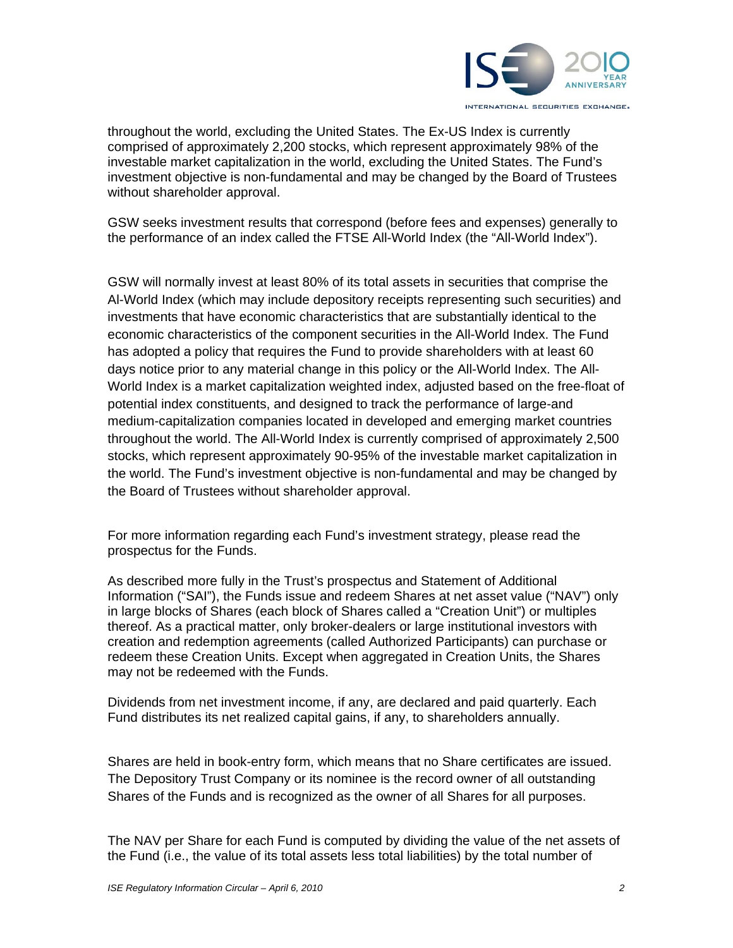

throughout the world, excluding the United States. The Ex-US Index is currently comprised of approximately 2,200 stocks, which represent approximately 98% of the investable market capitalization in the world, excluding the United States. The Fund's investment objective is non-fundamental and may be changed by the Board of Trustees without shareholder approval.

GSW seeks investment results that correspond (before fees and expenses) generally to the performance of an index called the FTSE All-World Index (the "All-World Index").

GSW will normally invest at least 80% of its total assets in securities that comprise the Al-World Index (which may include depository receipts representing such securities) and investments that have economic characteristics that are substantially identical to the economic characteristics of the component securities in the All-World Index. The Fund has adopted a policy that requires the Fund to provide shareholders with at least 60 days notice prior to any material change in this policy or the All-World Index. The All-World Index is a market capitalization weighted index, adjusted based on the free-float of potential index constituents, and designed to track the performance of large-and medium-capitalization companies located in developed and emerging market countries throughout the world. The All-World Index is currently comprised of approximately 2,500 stocks, which represent approximately 90-95% of the investable market capitalization in the world. The Fund's investment objective is non-fundamental and may be changed by the Board of Trustees without shareholder approval.

For more information regarding each Fund's investment strategy, please read the prospectus for the Funds.

As described more fully in the Trust's prospectus and Statement of Additional Information ("SAI"), the Funds issue and redeem Shares at net asset value ("NAV") only in large blocks of Shares (each block of Shares called a "Creation Unit") or multiples thereof. As a practical matter, only broker-dealers or large institutional investors with creation and redemption agreements (called Authorized Participants) can purchase or redeem these Creation Units. Except when aggregated in Creation Units, the Shares may not be redeemed with the Funds.

Dividends from net investment income, if any, are declared and paid quarterly. Each Fund distributes its net realized capital gains, if any, to shareholders annually.

Shares are held in book-entry form, which means that no Share certificates are issued. The Depository Trust Company or its nominee is the record owner of all outstanding Shares of the Funds and is recognized as the owner of all Shares for all purposes.

The NAV per Share for each Fund is computed by dividing the value of the net assets of the Fund (i.e., the value of its total assets less total liabilities) by the total number of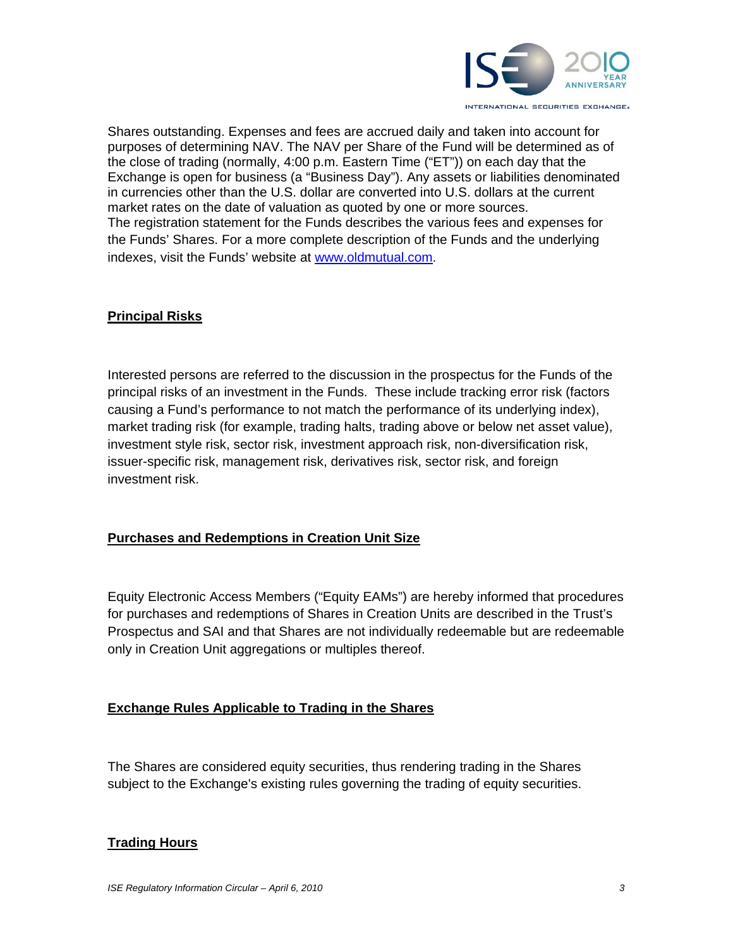

Shares outstanding. Expenses and fees are accrued daily and taken into account for purposes of determining NAV. The NAV per Share of the Fund will be determined as of the close of trading (normally, 4:00 p.m. Eastern Time ("ET")) on each day that the Exchange is open for business (a "Business Day"). Any assets or liabilities denominated in currencies other than the U.S. dollar are converted into U.S. dollars at the current market rates on the date of valuation as quoted by one or more sources. The registration statement for the Funds describes the various fees and expenses for the Funds' Shares. For a more complete description of the Funds and the underlying indexes, visit the Funds' website at www.oldmutual.com.

# **Principal Risks**

Interested persons are referred to the discussion in the prospectus for the Funds of the principal risks of an investment in the Funds. These include tracking error risk (factors causing a Fund's performance to not match the performance of its underlying index), market trading risk (for example, trading halts, trading above or below net asset value), investment style risk, sector risk, investment approach risk, non-diversification risk, issuer-specific risk, management risk, derivatives risk, sector risk, and foreign investment risk.

## **Purchases and Redemptions in Creation Unit Size**

Equity Electronic Access Members ("Equity EAMs") are hereby informed that procedures for purchases and redemptions of Shares in Creation Units are described in the Trust's Prospectus and SAI and that Shares are not individually redeemable but are redeemable only in Creation Unit aggregations or multiples thereof.

## **Exchange Rules Applicable to Trading in the Shares**

The Shares are considered equity securities, thus rendering trading in the Shares subject to the Exchange's existing rules governing the trading of equity securities.

## **Trading Hours**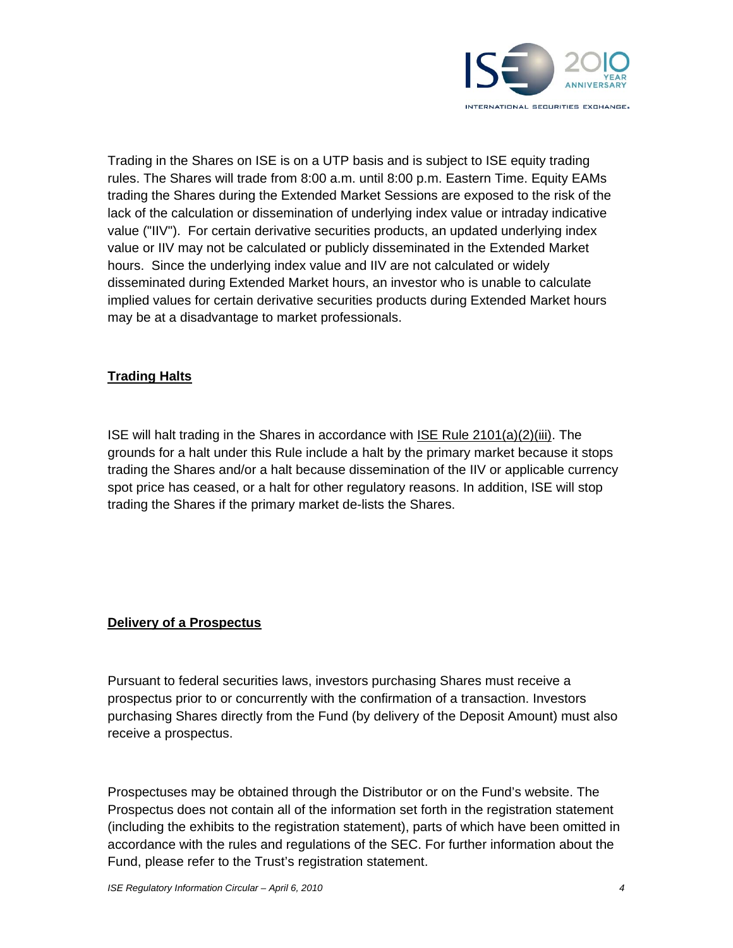

Trading in the Shares on ISE is on a UTP basis and is subject to ISE equity trading rules. The Shares will trade from 8:00 a.m. until 8:00 p.m. Eastern Time. Equity EAMs trading the Shares during the Extended Market Sessions are exposed to the risk of the lack of the calculation or dissemination of underlying index value or intraday indicative value ("IIV"). For certain derivative securities products, an updated underlying index value or IIV may not be calculated or publicly disseminated in the Extended Market hours. Since the underlying index value and IIV are not calculated or widely disseminated during Extended Market hours, an investor who is unable to calculate implied values for certain derivative securities products during Extended Market hours may be at a disadvantage to market professionals.

# **Trading Halts**

ISE will halt trading in the Shares in accordance with ISE Rule 2101(a)(2)(iii). The grounds for a halt under this Rule include a halt by the primary market because it stops trading the Shares and/or a halt because dissemination of the IIV or applicable currency spot price has ceased, or a halt for other regulatory reasons. In addition, ISE will stop trading the Shares if the primary market de-lists the Shares.

## **Delivery of a Prospectus**

Pursuant to federal securities laws, investors purchasing Shares must receive a prospectus prior to or concurrently with the confirmation of a transaction. Investors purchasing Shares directly from the Fund (by delivery of the Deposit Amount) must also receive a prospectus.

Prospectuses may be obtained through the Distributor or on the Fund's website. The Prospectus does not contain all of the information set forth in the registration statement (including the exhibits to the registration statement), parts of which have been omitted in accordance with the rules and regulations of the SEC. For further information about the Fund, please refer to the Trust's registration statement.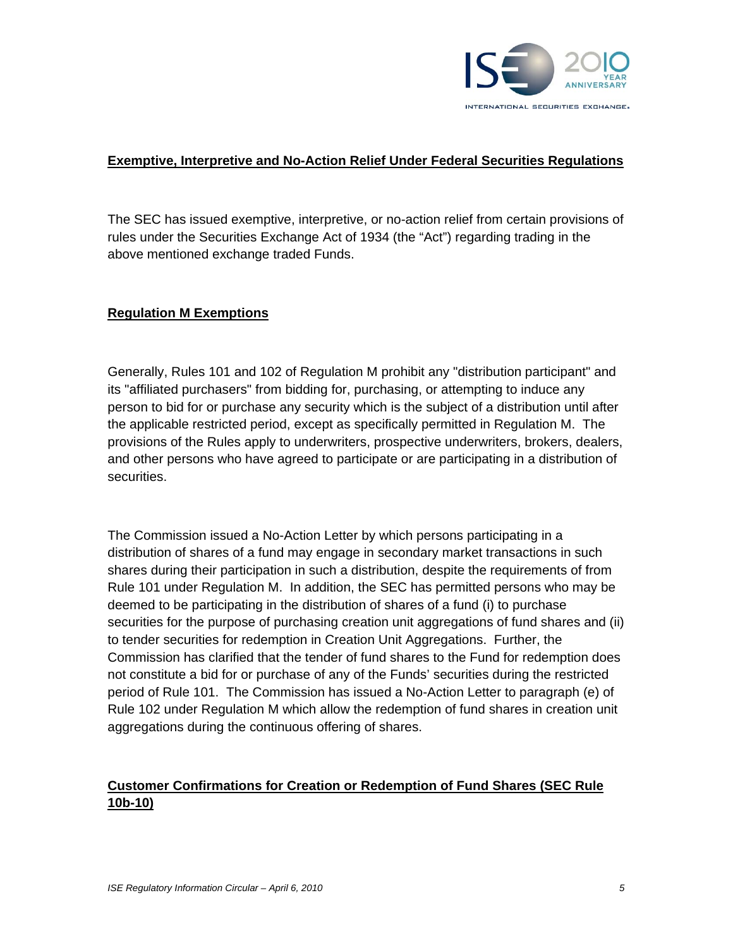

## **Exemptive, Interpretive and No-Action Relief Under Federal Securities Regulations**

The SEC has issued exemptive, interpretive, or no-action relief from certain provisions of rules under the Securities Exchange Act of 1934 (the "Act") regarding trading in the above mentioned exchange traded Funds.

## **Regulation M Exemptions**

Generally, Rules 101 and 102 of Regulation M prohibit any "distribution participant" and its "affiliated purchasers" from bidding for, purchasing, or attempting to induce any person to bid for or purchase any security which is the subject of a distribution until after the applicable restricted period, except as specifically permitted in Regulation M. The provisions of the Rules apply to underwriters, prospective underwriters, brokers, dealers, and other persons who have agreed to participate or are participating in a distribution of securities.

The Commission issued a No-Action Letter by which persons participating in a distribution of shares of a fund may engage in secondary market transactions in such shares during their participation in such a distribution, despite the requirements of from Rule 101 under Regulation M. In addition, the SEC has permitted persons who may be deemed to be participating in the distribution of shares of a fund (i) to purchase securities for the purpose of purchasing creation unit aggregations of fund shares and (ii) to tender securities for redemption in Creation Unit Aggregations. Further, the Commission has clarified that the tender of fund shares to the Fund for redemption does not constitute a bid for or purchase of any of the Funds' securities during the restricted period of Rule 101. The Commission has issued a No-Action Letter to paragraph (e) of Rule 102 under Regulation M which allow the redemption of fund shares in creation unit aggregations during the continuous offering of shares.

# **Customer Confirmations for Creation or Redemption of Fund Shares (SEC Rule 10b-10)**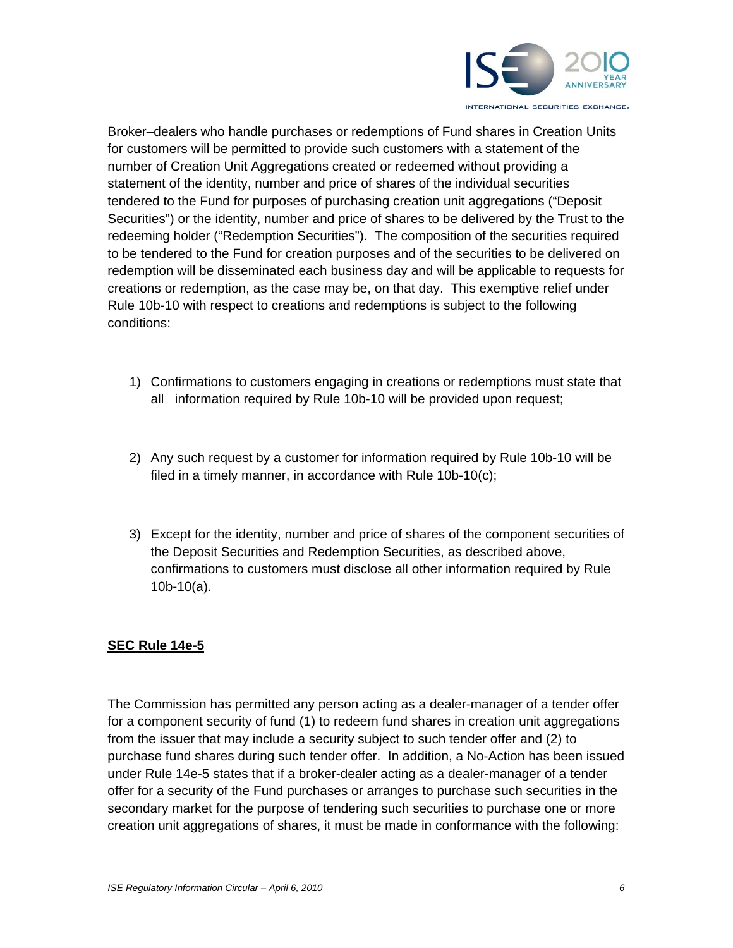

Broker–dealers who handle purchases or redemptions of Fund shares in Creation Units for customers will be permitted to provide such customers with a statement of the number of Creation Unit Aggregations created or redeemed without providing a statement of the identity, number and price of shares of the individual securities tendered to the Fund for purposes of purchasing creation unit aggregations ("Deposit Securities") or the identity, number and price of shares to be delivered by the Trust to the redeeming holder ("Redemption Securities"). The composition of the securities required to be tendered to the Fund for creation purposes and of the securities to be delivered on redemption will be disseminated each business day and will be applicable to requests for creations or redemption, as the case may be, on that day. This exemptive relief under Rule 10b-10 with respect to creations and redemptions is subject to the following conditions:

- 1) Confirmations to customers engaging in creations or redemptions must state that all information required by Rule 10b-10 will be provided upon request;
- 2) Any such request by a customer for information required by Rule 10b-10 will be filed in a timely manner, in accordance with Rule 10b-10(c);
- 3) Except for the identity, number and price of shares of the component securities of the Deposit Securities and Redemption Securities, as described above, confirmations to customers must disclose all other information required by Rule 10b-10(a).

# **SEC Rule 14e-5**

The Commission has permitted any person acting as a dealer-manager of a tender offer for a component security of fund (1) to redeem fund shares in creation unit aggregations from the issuer that may include a security subject to such tender offer and (2) to purchase fund shares during such tender offer. In addition, a No-Action has been issued under Rule 14e-5 states that if a broker-dealer acting as a dealer-manager of a tender offer for a security of the Fund purchases or arranges to purchase such securities in the secondary market for the purpose of tendering such securities to purchase one or more creation unit aggregations of shares, it must be made in conformance with the following: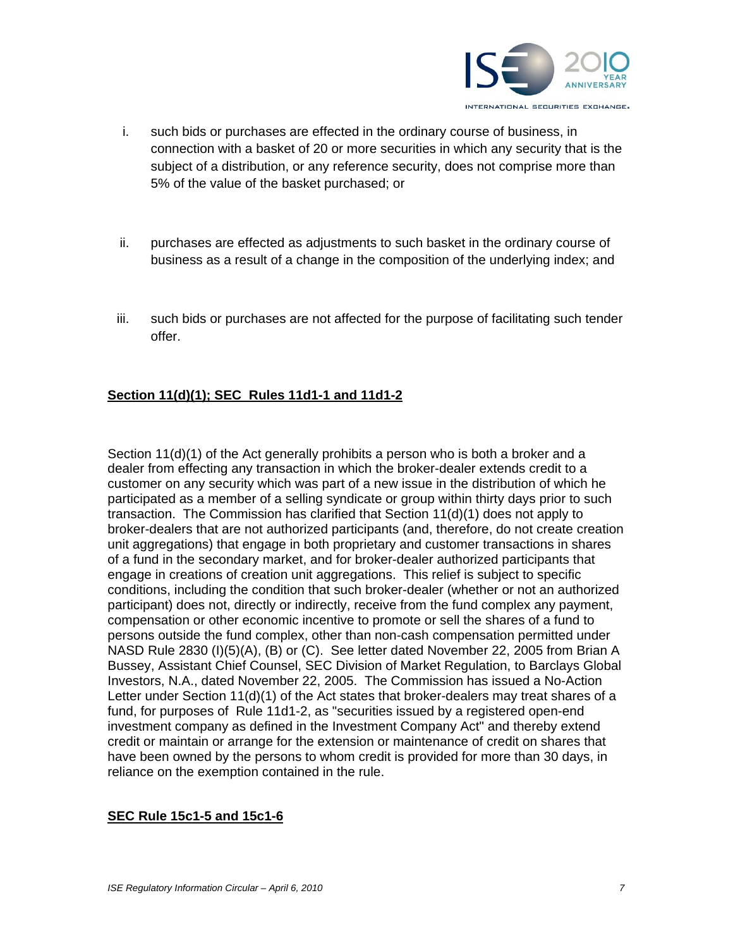

- i. such bids or purchases are effected in the ordinary course of business, in connection with a basket of 20 or more securities in which any security that is the subject of a distribution, or any reference security, does not comprise more than 5% of the value of the basket purchased; or
- ii. purchases are effected as adjustments to such basket in the ordinary course of business as a result of a change in the composition of the underlying index; and
- iii. such bids or purchases are not affected for the purpose of facilitating such tender offer.

## **Section 11(d)(1); SEC Rules 11d1-1 and 11d1-2**

Section 11(d)(1) of the Act generally prohibits a person who is both a broker and a dealer from effecting any transaction in which the broker-dealer extends credit to a customer on any security which was part of a new issue in the distribution of which he participated as a member of a selling syndicate or group within thirty days prior to such transaction. The Commission has clarified that Section 11(d)(1) does not apply to broker-dealers that are not authorized participants (and, therefore, do not create creation unit aggregations) that engage in both proprietary and customer transactions in shares of a fund in the secondary market, and for broker-dealer authorized participants that engage in creations of creation unit aggregations. This relief is subject to specific conditions, including the condition that such broker-dealer (whether or not an authorized participant) does not, directly or indirectly, receive from the fund complex any payment, compensation or other economic incentive to promote or sell the shares of a fund to persons outside the fund complex, other than non-cash compensation permitted under NASD Rule 2830 (I)(5)(A), (B) or (C). See letter dated November 22, 2005 from Brian A Bussey, Assistant Chief Counsel, SEC Division of Market Regulation, to Barclays Global Investors, N.A., dated November 22, 2005. The Commission has issued a No-Action Letter under Section 11(d)(1) of the Act states that broker-dealers may treat shares of a fund, for purposes of Rule 11d1-2, as "securities issued by a registered open-end investment company as defined in the Investment Company Act" and thereby extend credit or maintain or arrange for the extension or maintenance of credit on shares that have been owned by the persons to whom credit is provided for more than 30 days, in reliance on the exemption contained in the rule.

## **SEC Rule 15c1-5 and 15c1-6**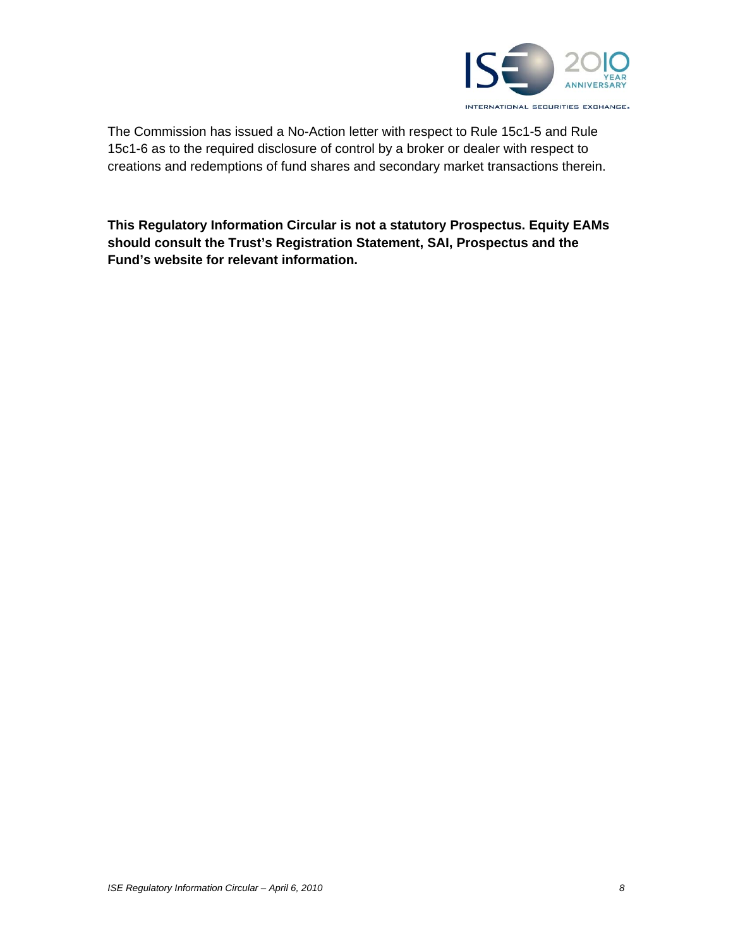

The Commission has issued a No-Action letter with respect to Rule 15c1-5 and Rule 15c1-6 as to the required disclosure of control by a broker or dealer with respect to creations and redemptions of fund shares and secondary market transactions therein.

**This Regulatory Information Circular is not a statutory Prospectus. Equity EAMs should consult the Trust's Registration Statement, SAI, Prospectus and the Fund's website for relevant information.**